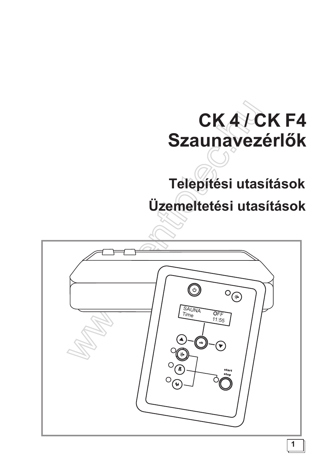# CKA/CKF4 Szaunavezérlők

# Telepítési utasítások Üzemeltetési utasítások

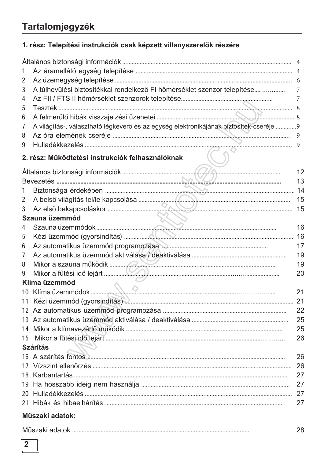## Tartalomjegyzék

### 1. rész: Telepítési instrukciók csak képzett villanyszerelők részére

| 1              |                                                                                        |    |
|----------------|----------------------------------------------------------------------------------------|----|
| 2              |                                                                                        |    |
| 3              | A túlhevülési biztosítékkal rendelkező FI hőmérséklet szenzor telepítése               | 7  |
| 4              |                                                                                        |    |
| 5              |                                                                                        |    |
| 6              |                                                                                        |    |
| 7              | A világítás-, választható légkeverő és az egység elektronikájának biztosíték-cseréje 9 |    |
| 8              |                                                                                        | 9  |
| 9              |                                                                                        |    |
|                | 2. rész: Működtetési instrukciók felhasználóknak                                       |    |
|                |                                                                                        | 12 |
|                |                                                                                        | 13 |
| 1              |                                                                                        |    |
| $\overline{2}$ |                                                                                        | 15 |
| 3              |                                                                                        | 15 |
|                | Szauna üzemmód                                                                         |    |
| 4              |                                                                                        | 16 |
| 5              |                                                                                        | 16 |
| 6              |                                                                                        | 17 |
| 7              |                                                                                        | 19 |
| 8              |                                                                                        | 19 |
| 9              |                                                                                        | 20 |
|                | Klíma üzemmód                                                                          |    |
| 10             |                                                                                        | 21 |
|                |                                                                                        |    |
|                |                                                                                        | 22 |
|                |                                                                                        | 25 |
|                |                                                                                        | 25 |
|                |                                                                                        | 26 |
|                | <b>Szárítás</b>                                                                        |    |
|                |                                                                                        | 26 |
|                |                                                                                        | 26 |
|                |                                                                                        | 27 |
|                |                                                                                        | 27 |
|                |                                                                                        | 27 |
|                |                                                                                        | 27 |
|                |                                                                                        |    |

#### Műszaki adatok:

|--|

28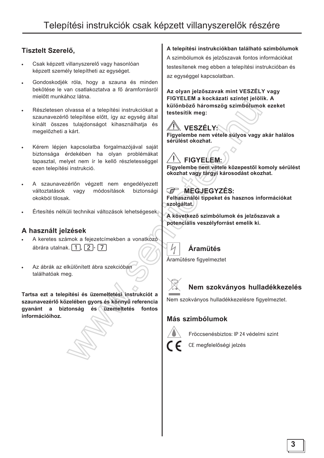#### Tisztelt Szerelő,

- Csak képzett villanyszerelő vagy hasonlóan képzett személy telepítheti az egységet.
- Gondoskodiék róla, hogy a szauna és minden bekötése le van csatlakoztatva a fő áramforrásról mielőtt munkához látna.
- Részletesen olvassa el a telepítési instrukciókat a szaunavezérlő telepítése előtt, így az egység által kínált összes tulajdonságot kihasználhatja és megelőzheti a kárt.
- Kérem lépjen kapcsolatba forgalmazójával saját biztonsága érdekében ha olyan problémákat tapasztal, melyet nem ír le kellő részletességgel ezen telepítési instrukció.
- A szaunavezérlőn végzett nem engedélyezett vagy módosítások biztonsági változtatások okokból tilosak.
- Értesítés nélküli technikai változások lehetségesek.

#### A használt jelzések

- A keretes számok a fejezetcímekben a vonatkozó ábrára utalnak.  $\lceil 1 \rceil$ ,  $\lceil 2 \rceil$ -  $\lceil 7 \rceil$
- Az ábrák az elkülönített ábra szekcióban találhatóak meg.

Tartsa ezt a telepítési és üzemeltetési instrukciót a szaunavezérlő közelében gyors és könnyű referencia gyanánt a biztonság és üzemeltetés fontos információihoz.

#### A telepítési instrukciókban található szimbólumok

A szimbólumok és jelzőszavak fontos információkat testesítenek meg ebben a telepítési instrukcióban és az egységgel kapcsolatban.

Az olyan jelzőszavak mint VESZÉLY vagy FIGYELEM a kockázati szintet jelölik. A különböző háromszög szimbólumok ezeket testesítik meg:





Figyelembe nem vétele közepestől komoly sérülést okozhat vagy tárgyi károsodást okozhat.

#### MEGJEGYZÉS:  $\mathbb{S}^{\mathbb{P}}$

Felhasználói tippeket és hasznos információkat szolgáltat.

A következő szimbólumok és jelzőszavak a potenciális veszélyforrást emelik ki.

## Áramütés

Áramütésre figyelmeztet



### Nem szokványos hulladékkezelés

Nem szokványos hulladékkezelésre figyelmeztet.

#### Más szimbólumok



Fröccsenésbiztos: IP 24 védelmi szint

CE megfelelőségi jelzés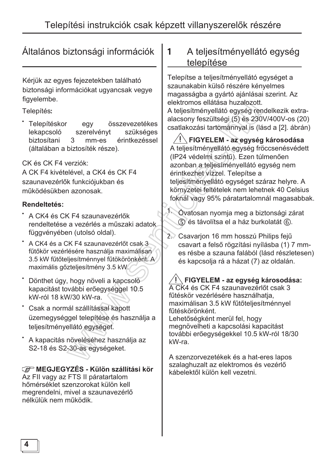## Általános biztonsági információk

Kérjük az egyes fejezetekben található biztonsági információkat ugyancsak vegye figvelembe.

#### Telepítés:

Telepítéskor összevezetékes egy lekapcsoló szerelvényt szükséges biztosítani érintkezéssel 3 mm-es (általában a biztosíték része).

CK és CK F4 verziók:

A CK F4 kivételével, a CK4 és CK F4 szaunavezérlők funkciójukban és működésükben azonosak.

#### **Rendeltetés:**

- \* A CK4 és CK F4 szaunavezérlők rendeltetése a vezérlés a műszaki adatok. függvényében (utolsó oldal).
- A CK4 és a CK F4 szaunavezérlőt csak 3 fűtőkör vezérlésére használja maximálisan 3.5 kW fűtőteliesítménnyel fűtökörönként. A maximális gőzteljesítmény 3.5 kW.
- Dönthet úgy, hogy növeli a kapcsoló kapacitást további erőegységgel 10.5 kW-ról 18 kW/30 kW-ra.
- \* Csak a normál szállítással kapott üzemegységgel telepítése és használja a teljesítményellátó egységet.
- A kapacitás növeléséhez használja az S2-18 és S2-30-as egységeket.

#### **GE MEGJEGYZÉS - Külön szállítási kör**

Az FII vagy az FTS II páratartalom hőmérséklet szenzorokat külön kell megrendelni, mivel a szaunavezérlő nélkülük nem működik.

#### A teljesítményellátó egység 1 telepítése

Telepítse a teljesítményellátó egységet a szaunakabin külső részére kényelmes magasságba a gyártó ajánlásai szerint. Az elektromos ellátása huzalozott.

A teljesítményellátó egység rendelkezik extraalacsony feszültségi (5) és 230V/400V-os (20) csatlakozási tartománnyal is (lásd a [2]. ábrán)

FIGYELEM - az egység károsodása A teljesítményellátó egység fröccsenésvédett (IP24 védelmi szintű). Ezen túlmenően azonban a teljesíményellátó egység nem érintkezhet vízzel. Telepítse a teljesítményellátó egységet száraz helyre. A környzetei feltételek nem lehetnek 40 Celsius foknál vagy 95% páratartalomnál magasabbak.

ſ. Óvatosan nyomja meg a biztonsági zárat 5 és távolítsa el a ház burkolatát (6).

2. Csavarion 16 mm hosszú Philips fejű csavart a felső rögzítási nyílásba (1) 7 mmes résbe a szauna falából (lásd részletesen) és kapcsolja rá a házat (7) az oldalán.

### $\sqrt{\mathsf{P}}$  FIGYELEM - az egység károsodása:

A CK4 és CK F4 szaunavezérlőt csak 3 fűtéskör vezérlésére használhatja, maximálisan 3.5 kW fűtőteljesítménnyel fűtéskörönként.

Lehetőségként merül fel, hogy megnövelheti a kapcsolási kapacitást további erőegységekkel 10.5 kW-ról 18/30 kW-ra.

A szenzorvezetékek és a hat-eres lapos szalaghuzalt az elektromos és vezérlő kábelektől külön kell vezetni.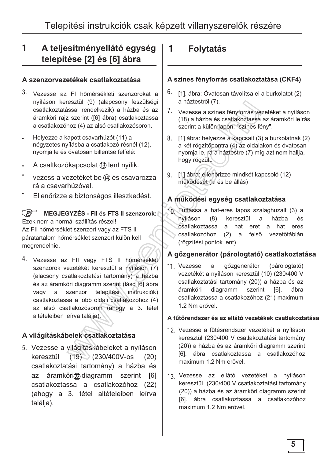### 1 A teljesítményellátó egység telepítése [2] és [6] ábra

#### A szenzorvezetékek csatlakoztatása

- 3. Vezesse az FI hőmérsékleti szenzorokat a nyíláson keresztül (9) (alapcsony feszülségi csatlakoztatással rendelkezik) a házba és az áramköri rajz szerint ([6] ábra) csatlakoztassa a csatlakozóhoz (4) az alsó csatlakozósoron.
- Helyezze a kapott csavarhúzót (11) a négyzetes nyílásba a csatlakozó résnél (12), nyomia le és óvatosan billentse felfelé:
- A csaltkozókapcsolat (B) lent nyílik.
- vezess a vezetéket be (14) és csavarozza rá a csavarhúzóval.
- Ellenőrizze a biztonságos illeszkedést.

#### **0)** MEGJEGYZÉS - FII és FTS II szenzorok: Ezek nem a normál szállítás részei! Az FII hőmérséklet szenzort vagy az FTS II páratartalom hőmérséklet szenzort külön kell

megrendelnie.

4. Vezesse az FII vagy FTS II hőmérséklet szenzorok vezetékét keresztül a nyíláson (7) (alacsony csatlakoztatási tartomány) a házba és az áramköri diagramm szerint (lásd [6] ábra vagy a szenzor telepítési instrukciók) castlakoztassa a jobb oldali csatlakozóhoz (4) az alsó csatlakozósoron (ahogy a 3. tétel altételeiben leírva találja).

### A világításkábelek csatlakoztatása

5. Vezesse a világításkábeleket a nyíláson  $k$ eresztül (19) (230/400V-os (20) csatlakoztatási tartomány) a házba és  $az$  áramköri $@$  diagramm szerint  $[6]$ csatlakoztassa a csatlakozóhoz (22) (ahogy a 3. tétel altételeiben leírva találja).

### **1 Folytatás**

#### A színes fényforrás csatlakoztatása (CKF4)

- $6.$  [1] ábra: Óvatosan távolítsa el a burkolatot (2) a háztestről (7).
- 7. Vezesse a színes fényforrás vezetéket a nyíláson (18) a házba és csatlakoztassa az áramköri leírás szerint a külön lapon: "színes fény".
- 8. [1] ábra: helyezze a kapcsait (3) a burkolatnak (2) a két rögzítőpontra (4) az oldalakon és óvatosan nyomja le, rá a háztestre (7) míg azt nem hallia. hogy rögzült.
- 9. [1] ábra: ellenőrizze mindkét kapcsoló (12) működését (ki és be állás)

### A működési egység csatlakoztatása

10. Futtassa a hat-eres lapos szalaghuzalt (3) a<br>nyíláson (8) keresztül a házba és keresztül csatlakoztassa a hat eret a hat eres csatlakozóhoz (2) a felső vezetőtáblán (rögzítési pontok lent)

### A gőzgenerátor (párologtató) csatlakoztatása

11 Vezesse a gőzgenerátor (párologtató) vezetékét a nyíláson keresztül (10) (230/400 V csatlakoztatási tartomány (20)) a házba és az áramköri diagramm szerint [6]. ábra csatlakoztassa a csatlakozóhoz (21) maximum 1.2 Nm erővel.

#### A fűtőrendszer és az ellátó vezetékek csatlakoztatása

- 12. Vezesse a fűtésrendszer vezetékét a nyíláson keresztül (230/400 V csatlakoztatási tartomány (20)) a házba és az áramköri diagramm szerint [6]. ábra csatlakoztassa a csatlakozóhoz maximum 1.2 Nm erővel.
- 13 Vezesse az ellátó vezetéket a nyíláson<br>Haláld bill (2001/00) Haláld bill billomáson keresztül (230/400 V csatlakoztatási tartomány (20)) a házba és az áramköri diagramm szerint [6]. ábra csatlakoztassa a csatlakozóhoz maximum 1.2 Nm erővel.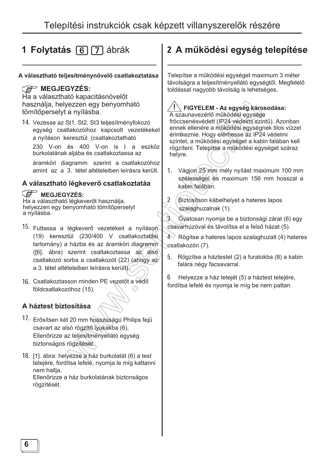## **1 Folytatás [6] [7]** ábrák

#### A választható teljesítménynövelő csatlakoztatása

#### *C***<sup>o</sup>** MEGJEGYZÉS:

Ha a választható kapacitásnövelőt használja, helyezzen egy benyomható tömítőperselyt a nyílásba.

14. Vezesse az St1, St2, St3 teljesítményfokozó egység csatlakozóihoz kapcsolt vezetékeket a nyíláson keresztül (csatlakoztatható 230 V-on és 400 V-on is ) a eszköz burkolatának aljába és csatlakoztassa az

áramköri diagramm szerint a csatlakozóhoz amint az a 3. tétel altételeiben leírásra került.

#### A választható légkeverő csatlakoztatáa

#### *C* MEGJEGYZÉS:

Ha a választható légkeverőt használja, helyezzen egy benyomható tömítőperselyt a nyílásba.

- 15. Futtassa a légkeverő vezetékeit a nyíláson (19) keresztül (230/400 V csatlakoztatási tartomány) a házba és az áramköri diagramm ([6]. ábra) szerint csaltakoztassa az alsó csatlakozó sorba a csatlakozót (22) (ahogy az a 3. tétel altételeiben leírásra került).
- 16. Csatlakoztasson minden PE vezetőt a védő földcsatlakozóhoz (15).

#### A háztest biztosítása

- 17. Erősítsen két 20 mm hosszúságú Philips fejű csavart az alsó rögzítő lyukakba (6). Ellenőrizze az teljesítményellátó egység biztonságos rögzítését.
- 18. [1], ábra: helvezze a ház burkolatát (6) a test tetejére, fordítsa lefelé, nyomia le míg kattanni nem hallja. Ellenőrizze a ház burkolatának biztonságos rögzítését.

## 2 A működési egység telepítése

Telepítse a működési egységet maximum 3 méter távolságra a teljesítményellátó egységtől. Megfelelő toldással nagyobb távolság is lehetséges.

## $| \setminus$  FIGYELEM - Az egység károsodása:

A szaunavezérlő működési egysége fröccsenésvédett (IP24 védelmi szintű). Azonban ennek ellenére a működési egységnek tilos vízzel érintkeznie. Hogy elérhesse az IP24 védelmi szintet, a működési egységet a kabin falában kell rögzíteni. Telepítse a működési egységet száraz helyre.

- 1. Vágion 25 mm mély nyílást maximum 100 mm szélességel és maximum 156 mm hosszal a kabin falában.
- 2 Biztosítson kábelhelyet a hateres lapos szalaghuzalnak (1).
- 3 Óvatosan nyomja be a biztonsági zárat (6) egy csavarhúzóval és távolítsa el a felső házat (5).

4 Rögítse a hateres lapos szalaghuzalt (4) hateres csatlakozón (7).

5. Rögzítse a háztestet (2) a furatokba (8) a kabin falára négy facsavarral.

 $6$  Helvezze a ház tetejét  $(5)$  a háztest tetejére. fordítsa lefelé és nyomja le míg be nem pattan.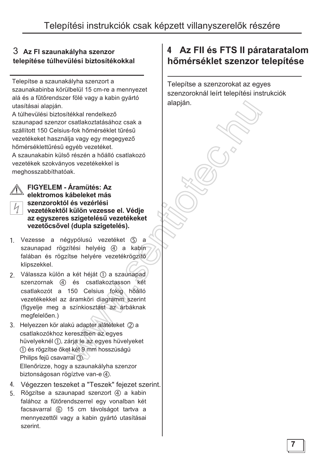### 3 Az FI szaunakályha szenzor telepítése túlhevülési biztosítékokkal

Telepítse a szaunakályha szenzort a szaunakabinba körülbelül 15 cm-re a mennyezet alá és a fűtőrendszer fölé vagy a kabin gyártó utasításai alapján.

A túlhevülési biztosítékkal rendelkező szaunapad szenzor csatlakoztatásához csak a szállított 150 Celsius-fok hőmérséklet tűrésű vezetékeket használja vagy egy megegyező hőmérséklettűrésű egyéb vezetéket.

A szaunakabin külső részén a hőálló csatlakozó vezetékek szokványos vezetékekkel is meghosszabbíthatóak.

#### FIGYELEM - Áramütés: Az elektromos kábeleket más szenzoroktól és vezérlési vezetékektől külön vezesse el. Védie az egyszeres szigetelésű vezetékeket vezetőcsővel (dupla szigetelés).

- 1. Vezesse a négypólusú vezetéket (5) a szaunapad rögzítési helyéig (4) a kabin falában és rögzítse helyére vezetékrögzítő klipszekkel.
- 2. Válassza külön a két héját (1) a szaunapad szenzornak (4) és csatlakoztasson két csatlakozót a 150 Celsius fokig hőálló vezetékekkel az áramköri diagramm szerint (figyelje meg a színkiosztást az árbáknak megfelelően.)
- 3. Helyezzen kör alakú adapter alátéteket (2) a csatlakozókhoz keresztben az egyes hüvelyeknél (1), zárja le az egyes hüvelyeket (1) és rögzítse őket két 9 mm hosszúságú Philips fejű csavarral (3). Ellenőrizze, hogy a szaunakályha szenzor biztonságosan rögíztve van-e (4).
- 4. Végezzen teszeket a "Teszek" fejezet szerint.
- 5. Rögzítse a szaunapad szenzort (4) a kabin falához a fűtőrendszerrel egy vonalban két facsavarral (6) 15 cm távolságot tartva a mennyezettől vagy a kabin gyártó utasításai szerint.

## 4 Az FII és FTS II párataratalom hőmérséklet szenzor telepítése

Telepítse a szenzorokat az egyes szenzoroknál leírt telepítési instrukciók alapján.

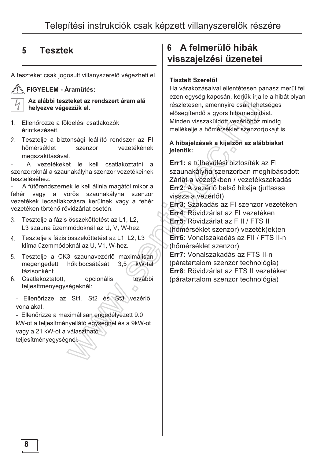## 5 **Tesztek**

A teszteket csak jogosult villanyszerelő végezheti el.

#### **FIGYELEM - Áramütés:**

Az alábbi teszteket az rendszert áram alá helyezve végezzük el.

- 1 Ellenőrozze a földelési csatlakozók érintkezéseit.
- 2. Tesztelje a biztonsági leállító rendszer az FI<br>hőmérséklet szenzor vezetékének vezetékének megszakításával.

A vezetékeket le kell csatlakoztatni a szenzoroknál a szaunakályha szenzor vezetékeinek teszteléséhez.

A fűtőrendszernek le kell állnia magától mikor a fehér vagy a vörös szaunakályha szenzor vezetékek lecsatlakozásra kerülnek vagy a fehér vezetéken történő rövidzárlat esetén.

- 3. Tesztelje a fázis összeköttetést az L1, L2, L3 szauna üzemmódoknál az U, V, W-hez.
- 4. Tesztelje a fázis összeköttetést az L1, L2, L3 klíma üzemmódoknál az U, V1, W-hez.
- 5. Tesztelje a CK3 szaunavezérlő maximálisan<br>megengedett hőkibocsátását 3,5 kW-tal megengedett hőkibocsátását fázisonként.
- 6. Csatlakoztatott, opcionális további teljesítményegységeknél:

- Ellenőrizze az St1, St2 és St3 vezérlő vonalakat.

- Ellenőrizze a maximálisan engedélyezett 9.0 kW-ot a teljesítményellátó egységnél és a 9kW-ot vagy a 21 kW-ot a választható teljesítményegységnél.

### **6** A felmerülő hibák visszajelzési üzenetei

#### **Tisztelt Szerelő!**

Ha várakozásaival ellentétesen panasz merül fel ezen egység kapcsán, kérjük írja le a hibát olyan részletesen, amennyire csak lehetséges elősegítendő a gyors hibamegoldást. Minden visszaküldött vezérlőhöz mindíg mellékelje a hőmérséklet szenzor(oka)t is.

#### A hibajelzések a kijelzőn az alábbiakat jelentik:

**Err1:** a túlhevülési biztosíték az Fl szaunakályha szenzorban meghibásodott Zárlat a vezetékben / vezetékszakadás **Err2:** A vezérlő belső hibája (juttassa vissza a vezérlőt)

**Err3**: Szakadás az FI szenzor vezetéken **Err4**: Rövidzárlat az FI vezetéken **Err5**: Rövidzárlat az F II / FTS II (hőmérséklet szenzor) vezeték(ek)en **Err6**: Vonalszakadás az FII / FTS II-n (hőmérséklet szenzor) **Err7**: Vonalszakadás az FTS II-n

(páratartalom szenzor technológia) **Err8**: Rövidzárlat az FTS II vezetéken (páratartalom szenzor technológia)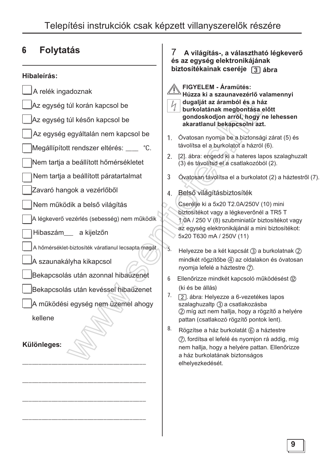#### 6 **Folytatás**

#### Hibaleírás:

- A relék ingadoznak Az egység túl korán kapcsol be
- Az egység túl későn kapcsol be
- Az egység egyáltalán nem kapcsol be
- Megállípított rendszer eltérés: \_\_\_ °C.
- Nem tartja a beállított hőmérsékletet
- Nem tartja a beállított páratartalmat
- Zavaró hangok a vezérlőből
- Nem működik a belső világítás
- A légkeverő vezérlés (sebesség) nem működik
	- Hibaszám a kijelzőn
	- A hőmérséklet-biztosíték váratlanul lecsapta magát
	- A szaunakályha kikapcsol
- Bekapcsolás után azonnal hibaüzenet
- Bekapcsolás után kevéssel hibaüzenet
- A működési egység nem üzemel ahogy

kellene

Különleges:

#### A világítás-, a választható légkeverő 7 és az egység elektronikájának biztosítékainak cseréje [3] ábra

FIGYELEM - Áramütés:

- Húzza ki a szaunavezérlő valamennyi dugaliát az áramból és a ház
- burkolatának megbontása előtt gondoskodjon arról, hogy ne lehessen akaratlanul bekapcsolni azt.
- 1. Óvatosan nyomja be a biztonsági zárat (5) és távolítsa el a burkolatot a házról (6).
- [2]. ábra: engedd ki a hateres lapos szalaghuzalt  $2<sup>2</sup>$ (3) és távolítsd el a csatlakozóból (2).
- $\overline{3}$ Óvatosan távolítsa el a burkolatot (2) a háztestről (7).
- 4. Belső világításbiztosíték

Cserélje ki a 5x20 T2.0A/250V (10) mini biztosítékot vagy a légkeverőnél a TR5 T 1.0A / 250 V (8) szubminiatűr biztosítékot vagy az egység elektronikájánál a mini biztosítékot: 5x20 T630 mA / 250V (11)

- 5. Helyezze be a két kapcsát (3) a burkolatnak (2) mindkét rögzítőbe (4) az oldalakon és óvatosan nyomja lefelé a háztestre (7).
- $6<sup>1</sup>$ Ellenőrizze mindkét kapcsoló működésést (12) (ki és be állás)
- $7.$ [2]. ábra: Helyezze a 6-vezetékes lapos szalaghuzaltp 3 a csatlakozásba 2 míg azt nem hallja, hogy a rögzítő a helyére pattan (csatlakozó rögzítő pontok lent).
- 8. Rögzítse a ház burkolatát (6) a háztestre (7), fordítsa el lefelé és nyomjon rá addig, míg nem hallja, hogy a helyére pattan. Ellenőrizze a ház burkolatának biztonságos elhelyezkedését.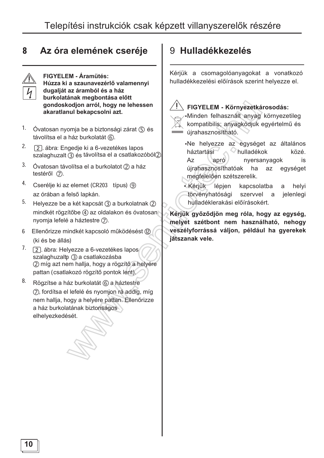#### Az óra elemének cseréje 8



FIGYELEM - Áramütés: Húzza ki a szaunavezérlő valamennyi dugalját az áramból és a ház burkolatának megbontása előtt gondoskodjon arról, hogy ne lehessen akaratlanul bekapcsolni azt.

- 1. Óvatosan nyomja be a biztonsági zárat ⑤ és távolítsa el a ház burkolatát (6).
- $2.$ [2]. ábra: Engedie ki a 6-vezetékes lapos szalaghuzalt (3) és távolítsa el a csatlakozóból2)
- 3. Óvatosan távolítsa el a burkolatot  $(2)$  a ház testéről (7).
- 4. Cserélje ki az elemet (CR203 típus) ⑨ az órában a felső lapkán.
- 5. Helyezze be a két kapcsát (3) a burkolatnak (2) mindkét rögzítőbe 4) az oldalakon és óvatosan nyomja lefelé a háztestre (7).
- 6 Ellenőrizze mindkét kapcsoló működésést (12) (ki és be állás)
- $7.$  [2] ábra: Helyezze a 6-vezetékes lapos szalaghuzaltp 3 a csatlakozásba 2 míg azt nem hallja, hogy a rögzítő a helyére pattan (csatlakozó rögzítő pontok lent).
- 8. Rögzítse a ház burkolatát 6 a háztestre (7), fordítsa el lefelé és nyomjon rá addig, míg nem hallja, hogy a helyére pattan. Ellenőrizze a ház burkolatának biztonságos elhelyezkedését.

## 9 Hulladékkezelés

Kérjük a csomagolóanyagokat a vonatkozó hulladékkezelési előírások szerint helvezze el.



#### FIGYELEM - Környezetkárosodás:

Minden felhasznált anyag környezetileg kompatibilis; anyagkódjuk egyértelmű és újrahasznosítható.

·Ne helyezze az egységet az általános háztartási hulladékok közé. **Az** apró nyersanyagok is újrahasznosíthatóak ha az egységet megfelelően szétszerelik.

· Kériük lépjen kapcsolatba helvi a törvényhatósági szervvel a jelenlegi hulladéklerakási előírásokért.

Kérjük győződjön meg róla, hogy az egység, melyet szétbont nem használható, nehogy veszélyforrássá váljon, például ha gyerekek játszanak vele.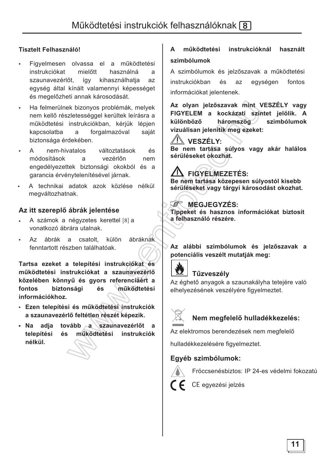#### **Tisztelt Felhasználó!**

- Figyelmesen olvassa el a működtetési instrukciókat mielőtt használná  $\mathbf{a}$ szaunavezérlőt, kihasználhatja így az egység által kínált valamennyi képességet és megelőzheti annak károsodását.
- Ha felmerülnek bizonyos problémák, melyek nem kellő részletességgel kerültek leírásra a működtetési instrukciókban, kérjük lépjen kapcsolatba forgalmazóval saját a biztonsága érdekében.
- nem-hivatalos változtatások  $\mathsf{A}$ és módosítások a vezérlőn nem engedélyezettek biztonsági okokból és a garancia érvénytelenítésével járnak.
- A technikai adatok azok közlése nélkül megváltozhatnak.

#### Az itt szereplő ábrák jelentése

- A számok a négyzetes kerettel [8] a vonatkozó ábrára utalnak.
- Az ábrák a csatolt. külön ábráknak fenntartott részben találhatóak.

Tartsa ezeket a telepítési instrukciókat és működtetési instrukciókat a szaunavezérlő közelében könnyű és gyors referenciáért a biztonsági működtetési fontos és információkhoz.

- · Ezen telepítési és működtetési instrukciók a szaunavezérlő feltétlen részét képezik.
- · Na adja tovább a szaunavezérlőt a telepítési működtetési instrukciók és nélkül.

#### működtetési instrukcióknál  $\blacktriangle$ használt szimbólumok

A szimbólumok és jelzőszavak a működtetési instrukciókban és az egységen fontos információkat jelentenek.

Az olyan jelzőszavak mint VESZÉLY vagy FIGYELEM a kockázati szintet jelölik. A háromszög különböző szimbólumok vizuálisan ielenítik meg ezeket:

### <u>AN</u> VESZÉLY:

Be nem tartása súlyos vagy akár halálos sérüléseket okozhat.

### AN FIGYELMEZETÉS:

Be nem tartása közepesen súlyostól kisebb sérüléseket vagy tárgyi károsodást okozhat.

#### **E** MEGJEGYZÉS:

Tippeket és hasznos információkat biztosít a felhasználó részére.

#### Az alábbi szimbólumok és jelzőszavak a potenciális veszélt mutatiák meg:



### Tűzveszély

Az éghető anyagok a szaunakályha tetejére való elhelyezésének veszélyére figyelmeztet.



#### Nem megfelelő hulladékkezelés:

Az elektromos berendezések nem megfelelő

hulladékkezelésére figyelmeztet.

#### Egyéb szimbólumok:



Fröccsenésbiztos: IP 24-es védelmi fokozatú

CE egyezési jelzés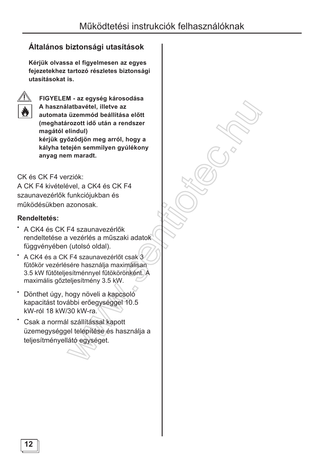### Általános biztonsági utasítások

Kérjük olvassa el figyelmesen az egyes fejezetekhez tartozó részletes biztonsági utasításokat is.



FIGYELEM - az egység károsodása A használatbavétel, illetve az automata üzemmód beállítása előtt (meghatározott idő után a rendszer magától elindul) kérjük győződjön meg arról, hogy a kályha tetején semmilyen gyúlékony anyag nem maradt.

CK és CK F4 verziók:

A CK F4 kivételével. a CK4 és CK F4 szaunavezérlők funkciójukban és működésükben azonosak.

### Rendeltetés:

- A CK4 és CK F4 szaunavezérlők rendeltetése a vezérlés a műszaki adatok függvényében (utolsó oldal).
- A CK4 és a CK F4 szaunavezérlőt csak 3 fűtőkör vezérlésére használia maximálisan 3.5 kW fűtőteljesítménnyel fűtökörönként. A maximális gőzteljesítmény 3.5 kW.
- Dönthet úgy, hogy növeli a kapcsoló kapacitást további erőegységgel 10.5 kW-ról 18 kW/30 kW-ra.
- Csak a normál szállítással kapott üzemegységgel telepítése és használja a teljesítményellátó egységet.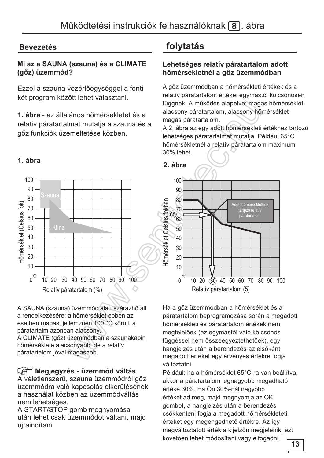### **Bevezetés**

#### Mi az a SAUNA (szauna) és a CLIMATE (gőz) üzemmód?

Ezzel a szauna vezérlőegységgel a fenti két program között lehet választani.

1. ábra - az általános hőmérsékletet és a relatív páratartalmat mutatja a szauna és a gőz funkciók üzemeltetése közben.

#### 1. ábra



A SAUNA (szauna) üzemmód alatt szárazhő áll a rendelkezésére: a hőmérséklet ebben az esetben magas, jellemzően 100 °C körüli, a páratartalm azonban alacsony. A CLIMATE (gőz) üzemmódban a szaunakabin hőmérséklete alacsonyabb, de a relatív páratartalom jóval magasabb.

#### Megjegyzés - üzemmód váltás

A véletlenszerű, szauna üzemmódról gőz üzemmódra való kapcsolás elkerülésének a használat közben az üzemmódváltás nem lehetséges.

A START/STOP gomb megnyomása után lehet csak üzemmódot váltani, majd újraindítani.

## folytatás

#### Lehetséges relatív páratartalom adott hőmérsékletnél a gőz üzemmódban

A gőz üzemmódban a hőmérsékleti értékek és a relatív páratartalom értékei egymástól kölcsönösen függnek. A működés alapelve: magas hőmérsékletalacsony páratartalom, alacsony hőmérsékletmagas páratartalom.

A 2. ábra az egy adott hőmérsékleti értékhez tartozó lehetséges páratartalmat mutatja. Például 65°C hőmérsékletnél a relatív páratartalom maximum 30% lehet.



Ha a gőz üzemmódban a hőmérséklet és a páratartalom beprogramozása során a megadott hőmérsékleti és páratartalom értékek nem megfelelőek (az egymástól való kölcsönös függéssel nem összeegyeztethetőek), egy hangielzés után a berendezés az elsőként megadott értéket egy érvényes értékre fogja változtatni.

Például: ha a hőmérséklet 65°C-ra van beállítva, akkor a páratartalom legnagyobb megadható értéke 30%. Ha Ön 30%-nál nagyobb értéket ad meg, majd megnyomja az OK gombot, a hangjelzés után a berendezés csökkenteni fogja a megadott hőmérsékleteti értéket egy megengedhető értékre. Az így megváltoztatott érték a kijelzőn megjelenik, ezt követően lehet módosítani vagy elfogadni.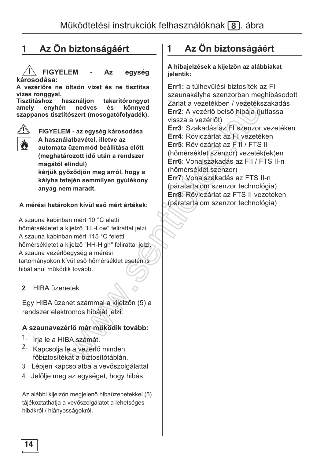## **1 Az Ön biztonságáért | 1 Az Ön biztonságáért**

**FIGYELEM** - Az egység károsodása:

A vezérlőre ne öltsön vizet és ne tisztítsa **vizes rongqyal.** 

**Tisztításhoz használjon takarítórongyot<br>amely enyhén nedves és könnyed** amely envhén nedves és könnved szappanos tisztítószert (mosogatófolyadék).



**FIGYELEM - az egység károsodása** A használatbavétel, illetve az

automata üzemmód beállítása előtt **(meghatározott idő után a rendszer magától elindul)** 

kériük győződiön meg arról, hogy a kályha tetején semmilyen gyúlékony anvag nem maradt.

#### A mérési határokon kívül eső mért értékek:

A szauna kabinban mért 10 °C alatti hőmérsékletet a kijelző "LL-Low" felirattal jelzi. A szauna kabinban mért 115 °C feletti hőmérsékletet a kijelző "HH-High" felirattal jelzi. A szauna vezérlőegység a mérési tartományokon kívül eső hőmérséklet esetén is hibátlanul működik tovább.

#### 2 HIBA üzenetek

Egy HIBA üzenet számmal a kijelzőn (5) a rendszer elektromos hibáját jelzi.

### A szaunavezérlő már működik tovább:

- 1. Írja le a HIBA számát.
- 2. Kapcsolia le a vezérlő minden főbiztosítékát a biztosítótáblán.
- 3 Lépjen kapcsolatba a vevőszolgálattal
- 4 Jelölje meg az egységet, hogy hibás.

Az alábbi kijelzőn megjelenő hibaüzenetekkel (5) tájékoztathatja a vevőszolgálatot a lehetséges hibákról / hiányosságokról.

A hibajelzések a kijelzőn az alábbiakat jelentik:

**Err1:** a túlhevülési biztosíték az Fl szaunakályha szenzorban meghibásodott Zárlat a vezetékben / vezetékszakadás **Err2**: A vezérlő belső hibája (juttassa vissza a vezérlőt) **Err3**: Szakadás az FI szenzor vezetéken **Err4**: Rövidzárlat az FI vezetéken **Err5: Rövidzárlat az F II / FTS II** (hőmérséklet szenzor) vezeték(ek)en **Err6**: Vonalszakadás az FII / FTS II-n (hőmérséklet szenzor) **Err7: Vonalszakadás az FTS II-n** (páratartalom szenzor technológia) **Err8**: Rövidzárlat az FTS II vezetéken (páratartalom szenzor technológia)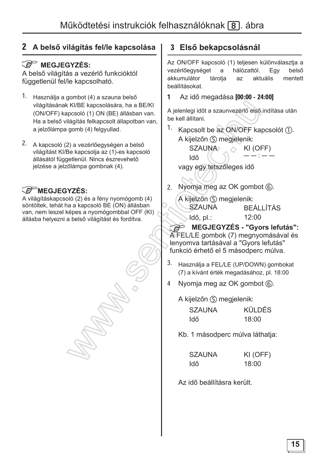### 2 A belső világítás fel/le kapcsolása

### **E** MEGJEGYZÉS:

A belső világítás a vezérlő funkcióktól függetlenül fel/le kapcsolható.

- 1. Használja a gombot (4) a szauna belső világításának KI/BE kapcsolására, ha a BE/KI (ON/OFF) kapcsoló (1) ON (BE) állásban van. Ha a belső világítás felkapcsolt állapotban van, a jelzőlámpa gomb (4) felgyullad.
- 2. A kapcsoló (2) a vezérlőegységen a belső világítást KI/Be kapcsolja az (1)-es kapcsoló állásától függetlenül. Nincs észrevehető jelzése a jelzőlámpa gombnak (4).

### **E**MEGJEGYZÉS:

A világításkapcsoló (2) és a fény nyomógomb (4) söntöltek, tehát ha a kapcsoló BE (ON) állásban van, nem leszel képes a nyomógombbal OFF (KI) állásba helyezni a belső világítást és fordítva.

### 3 Első bekapcsolásnál

Az ON/OFF kapcsoló (1) teljesen különválasztja a vezérlőegységet  $\mathsf{a}$ hálózattól. Eav helső akkumulátor tárolia az aktuális mentett beállításokat.

Az idő megadása [00:00 - 24:00] 1

A jelenlegi időt a szaunvezérlő első indítása után be kell állítani.

1. Kapcsolt be az ON/OFF kapcsolót ①. A kijelzőn (5) megjelenik:

> **SZAUNA** KI (OFF) ldő

vagy egy tetszőleges idő

- 2. Nyomia meg az OK gombot (6).
	- A kijelzőn (5) megjelenik: **SZAUNA BEÁLLÍTÁS** Idő, pl.: 12:00

**MEGJEGYZÉS - "Gyors lefutás":** A FEL/LE gombok (7) megnyomásával és lenvomva tartásával a "Gyors lefutás" funkció érhető el 5 másodperc múlva.

- 3. Használja a FEL/LE (UP/DOWN) gombokat (7) a kívánt érték megadásához, pl. 18:00
- Nyomia meg az OK gombot 6.  $\overline{4}$

A kijelzőn (5) megjelenik:

| <b>SZAUNA</b> | <b>KÜLDÉS</b> |
|---------------|---------------|
| Idő           | 18:00         |

Kb. 1 másodperc múlva láthatja:

| <b>SZAUNA</b> | KI (OFF) |
|---------------|----------|
| ldő           | 18:00    |

Az idő beállításra került.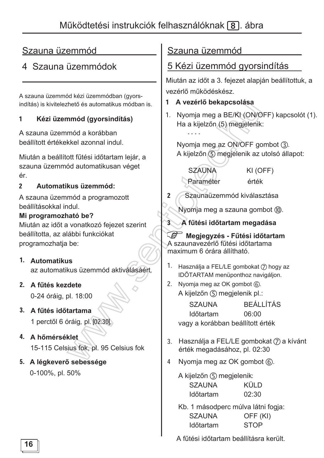## 4 Szauna üzemmódok

A szauna üzemmód kézi üzemmódban (gyorsindítás) is kivitelezhető és automatikus módban is.

#### Kézi üzemmód (avorsindítás) 1

A szauna üzemmód a korábban beállított értékekkel azonnal indul.

Miután a beállított fűtési időtartam lejár, a szauna üzemmód automatikusan véget ér.

#### $\overline{\mathbf{z}}$ Automatikus üzemmód:

A szauna üzemmód a programozott beállításokkal indul.

#### Mi programozható be?

Miután az időt a vonatkozó fejezet szerint beállította, az alábbi funkciókat programozhatja be:

### 1. Automatikus

az automatikus üzemmód aktiválásáért.

### 2. A fűtés kezdete

0-24 óráig, pl. 18:00

- 3. A fűtés időtartama 1 perctől 6 óráig, pl. [02:30],
- 4. A hőmérséklet 15-115 Celsius fok. pl. 95 Celsius fok
- 5. A légkeverő sebessége 0-100%, pl. 50%

### Szauna üzemmód

### 5 Kézi üzemmód gyorsindítás

Miután az időt a 3. fejezet alapján beállítottuk, a vezérlő működéskész.

### 1 A vezérlő bekapcsolása

1. Nyomja meg a BE/KI (ON/OFF) kapcsolót (1). Ha a kijelzőn (5) megjelenik:

Nyomja meg az ON/OFF gombot 3. A kijelzőn 5 megjelenik az utolsó állapot:

**SZAUNA** Paraméter KI (OFF) érték

Szaunaüzemmód kiválasztása  $2<sup>1</sup>$ 

Nyomia meg a szauna gombot (ii).

3 A fűtési időtartam megadása

Megiegyzés - Fűtési időtartam A szaunavezérlő fűtési időtartama maximum 6 órára állítható.

- 1. Használia a FEL/LE gombokat (7) hogy az IDŐTARTAM menüponthoz navigáljon.
- 2. Nyomia meg az OK gombot 6. A kijelzőn (5) megjelenik pl.:

**SZAUNA BEÁLLÍTÁS** Időtartam 06:00 vagy a korábban beállított érték

- 3. Használja a FEL/LE gombokat (7) a kívánt érték megadásához, pl. 02:30
- Nyomja meg az OK gombot (6).  $\overline{4}$

A kijelzőn (5) megjelenik: **SZAUNA** KÜI D Időtartam  $02:30$ 

Kb. 1 másodperc múlva látni fogja: **SZAUNA** OFF (KI) Időtartam **STOP** 

A fűtési időtartam beállításra került.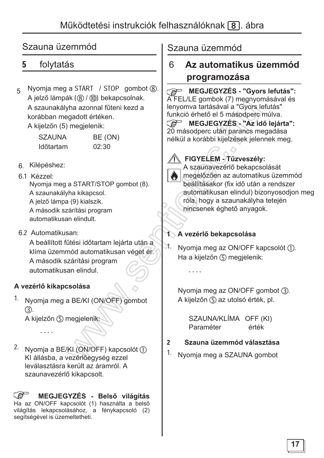#### folytatás  $5<sup>1</sup>$

Nyomia meg a START / STOP gombot (8). 5 A jelző lámpák (8) / (iii) bekapcsolnak. A szaunakályha azonnal fűteni kezd a korábban megadott értéken. A kijelzőn (5) megjelenik:

| <b>SZAUNA</b> | BE (ON) |
|---------------|---------|
| Időtartam     | 02:30   |

6. Kilépéshez:

#### 61 Kézzel

Nyomia meg a START/STOP gombot (8). A szaunakályha kikapcsol. A jelző lámpa (9) kialszik. A második szárítási program

automatikusan elindult.

6.2 Automatikusan:

A beállított fűtési időtartam lejárta után a klíma üzemmód automatikusan véget ér. A második szárítási program automatikusan elindul.

### A vezérlő kikapcsolása

1. Nyomia meg a BE/KI (ON/OFF) gombot  $(3)$ .

A kijelzőn (5) megjelenik:

 $2.$ Nyomja a BE/KI (ON/OFF) kapcsolót (1) KI állásba, a vezérlőegység ezzel leválasztásra került az áramról. A szaunavezérlő kikapcsolt.

MEGJEGYZÉS - Belső világítás Ha az ON/OFF kapcsolót (1) használta a belső világítás lekapcsolásához, a fénykapcsoló (2) segítségével is üzemeltetheti.

### Szauna üzemmód

#### 6 Az automatikus üzemmód programozása

Ca MEGJEGYZÉS - "Gyors lefutás": A FEL/LE gombok (7) megnyomásával és lenyomva tartásával a "Gyors lefutás" funkció érhető el 5 másodperc múlva.

MEGJEGYZÉS - "Az idő lejárta": 20 másodperc után parancs megadása nélkül a korábbi kijelzések jelennek meg.

### FIGYELEM - Tűzveszély:



A szaunavezérlő bekapcsolását megelőzően az automatikus üzemmód beállításakor (fix idő után a rendszer automatikusan elindul) bizonyosodjon meg róla, hogy a szaunakályha tetején nincsenek éghető anyagok.

### 1 A vezérlő bekapcsolása

 $\lambda$ . Nyomia meg az ON/OFF kapcsolót (1). Ha a kijelzőn (5) megjelenik:

 $\sim$   $\sim$   $\sim$   $\sim$ 

Nyomja meg az ON/OFF gombot (3). A kijelzőn 5 az utolsó érték, pl.

SZAUNA/KLÍMA OFF (KI) Paraméter érték

#### $\overline{2}$ Szauna üzemmód választása

1. Nyomia meg a SZAUNA gombot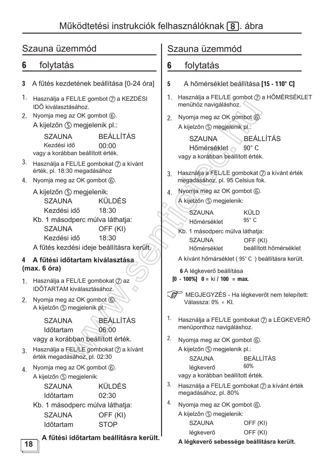#### folytatás 6

- 3 A fűtés kezdetének beállítása [0-24 óra]
- 1. Használia a FEL/LE gombot  $(2)$  a KEZDÉSI IDŐ kiválasztásához.
- 2. Nyomia meg az OK gombot 6. A kijelzőn (5) megjelenik pl.:

**BEÁLLÍTÁS SZAUNA** Kezdési idő 00:00 vagy a korábban beállított érték.

- 3. Használja a FEL/LE gombokat 7 a kívánt érték. pl. 18:30 megadásához
- 4. Nyomja meg az OK gombot 6.
	- A kijelzőn (5) megjelenik: KÜLDÉS **SZAUNA** Kezdési idő 18:30
	- Kb. 1 másodperc múlva láthatja: **SZAUNA** OFF (KI) 18:30 Kezdési idő
	- A fűtés kezdési ideie beállításra került.

#### 4 A fűtési időtartam kiválasztása  $(max. 6 óra)$

- 1. Használja a FEL/LE gombokat (7) az IDŐTARTAM kiválasztásához.
- 2. Nyomia meg az OK gombot 6. A kijelzőn (5) megjelenik pl.:

**BEÁLLÍTÁS SZAUNA Időtartam**  $06:00$ vagy a korábban beállított érték.

- 3. Használja a FEL/LE gombokat (7) a kívánt érték megadásához, pl. 02:30
- Nyomja meg az OK gombot 6.  $\overline{4}$ A kijelzőn (5) megjelenik:

| <b>SZAUNA</b>    | <b>KÜLDÉS</b> |
|------------------|---------------|
| <b>Időtartam</b> | 02:30         |

Kb. 1 másodperc múlva láthatja: **SZAUNA** OFF (KI)

#### **STOP** Időtartam

A fűtési időtartam beállításra került.

### Szauna üzemmód

#### folytatás 6

- $5\phantom{.0}$ A hőmérséklet beállítása [15 - 110° C]
- 1. Használja a FEL/LE gombot (7) a HŐMÉRSÉKLET menühöz navigáláshoz.
- 2 Nyomia meg az OK gombot 6. A kijelzőn (5) megjelenik pl.:

**BEÁLLÍTÁS SZAUNA**  $90^\circ$  C Hőmérséklet vagy a korábban beállított érték.

- 3. Használja a FEL/LE gombokat (7) a kívánt érték megadásához, pl. 95 Celsius fok.
- Nyomja meg az OK gombot 6.  $4<sub>1</sub>$ A kijelzőn (5) megjelenik:
	-

| <b>SZAUNA</b> | KÜLD            |
|---------------|-----------------|
| Hőmérséklet   | 95 $^{\circ}$ C |

- Kb. 1 másodperc múlva láthatja: **SZAUNA** OFF (KI) beállított hőmérséklet Hőmérséklet
- A kívánt hőmárséklet (95°C) beállításra került.

6 A légkeverő beállítása

 $\begin{bmatrix} 0 & -100\% \end{bmatrix}$  0 = ki / 100 = max.

MEGJEGYZÉS - Ha légkeverőt nem telepített: Válassza:  $0\% = Kl$ .

- $1.$ Használja a FEL/LE gombokat (7) a LÉGKEVERŐ menüponthoz navigáláshoz.
- $2.$ Nyomja meg az OK gombot 6. A kijelzőn (5) megjelenik pl.: **BEÁLLÍTÁS SZAUNA** 60% léakeverő vagy a korábban beállított érték.
- $3<sub>1</sub>$ Használja a FEL/LE gombokat (7) a kívánt érték megadásához, pl. 80%
- 4. Nyomia meg az OK gombot  $\circled{6}$ . A kijelzőn (5) megjelenik: and the control

| <b>SZAUNA</b> | OFF (KI) |
|---------------|----------|
| légkeverő     | OFF (KI) |

A légkeverő sebessége beállításra került.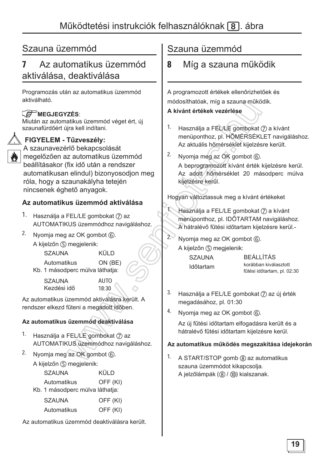#### Az automatikus üzemmód 7 aktiválása, deaktiválása

Programozás után az automatikus üzemmód aktiválható.

#### **REP MEGJEGYZÉS:**

Miután az automatikus üzemmód véget ért, új szaunafürdőért újra kell indítani.



FIGYELEM - Tűzveszély: A szaunavezérlő bekapcsolását megelőzően az automatikus üzemmód

beállításakor (fix idő után a rendszer automatikusan elindul) bizonyosodjon meg róla, hogy a szaunakályha tetején nincsenek éghető anyagok.

### Az automatikus üzemmód aktiválása

- 1. Használja a FEL/LE gombokat (7) az AUTOMATIKUS üzemmódhoz navigáláshoz.
- 2. Nyomja meg az OK gombot 6.
	- A kijelzőn (5) megjelenik:

| <b>SZAUNA</b>                   | <b>KÜLD</b> |
|---------------------------------|-------------|
| <b>Automatikus</b>              | ON (BE      |
| Kb. 1 másodperc múlva láthatja: |             |

**SZAUNA AUTO** Kezdési idő  $18:30$ 

Az automatikus üzemmód aktiválásra került. A rendszer elkezd fűteni a megadott időben.

### Az automatikus üzemmód deaktiválása

- 1. Használja a FEL/LE gombokat (7) az AUTOMATIKUS üzemmódhoz navigáláshoz.
- $2.$ Nvomia meg az OK gombot 6. A kijelzőn (5) megjelenik:

| <b>SZAUNA</b>                   | <b>KÜLD</b> |
|---------------------------------|-------------|
| Automatikus                     | OFF (KI)    |
| Kb. 1 másodperc múlva láthatja: |             |

| <b>SZAUNA</b> | OFF (KI) |
|---------------|----------|
| Automatikus   | OFF (KI) |

Az automatikus üzemmód deaktiválásra került.

### Szauna üzemmód

#### 8 Míg a szauna működik

A programozott értékek ellenőrizhetőek és módosíthatóak, míg a szauna működik.

#### A kívánt értékek vezérlése

- 1. Használja a FEL/LE gombokat (7) a kívánt menüponthoz, pl. HŐMÉRSÉKLET navigáláshoz. Az aktuális hőmérséklet kijelzésre került.
- $2.$ Nyomja meg az OK gombot 6. A beprogramozott kívánt érték kijelzésre kerül. Az adott hőmérséklet 20 másodperc múlva kijelzésre kerül.

Hogyan változtassuk meg a kívánt értékeket

- Használja a FEL/LE gombokat (7) a kívánt menüponthoz, pl. IDŐTARTAM navigáláshoz. A hátralévő fűtési időtartam kijelzésre kerül.-
- $2^{\circ}$ Nyomja meg az OK gombot 6. A kijelzőn (5) megjelenik:

| <b>SZAUNA</b> |  |
|---------------|--|
| Időtartam     |  |

**BEÁLLÍTÁS** korábban kiválasztott fűtési időtartam, pl. 02:30

- $3.$ Használja a FEL/LE gombokat (7) az új érték megadásához, pl. 01:30
- 4. Nyomia meg az OK gombot *(6)*.

Az új fűtési időtartam elfogadásra került és a hátralévő fűtési időtartam kijelzésre kerül.

#### Az automatikus működés megszakítása idejekorán

1. A START/STOP gomb ⑧ az automatikus szauna üzemmódot kikapcsolja. A jelzőlámpák (8) / (iii) kialszanak.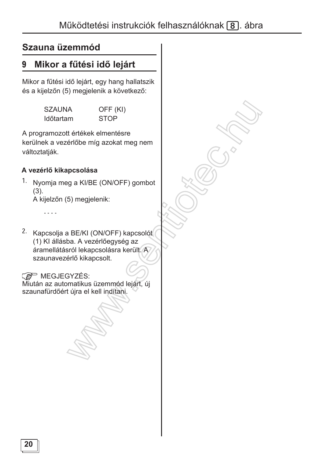#### Mikor a fűtési idő lejárt 9

Mikor a fűtési idő lejárt, egy hang hallatszik és a kijelzőn (5) megjelenik a következő:

| <b>SZAUNA</b>    | OFF (KI)    |
|------------------|-------------|
| <b>Időtartam</b> | <b>STOP</b> |

A programozott értékek elmentésre kerülnek a vezérlőbe míg azokat meg nem változtatják.

### A vezérlő kikapcsolása

 $1.$ Nyomja meg a KI/BE (ON/OFF) gombot  $(3).$ 

A kijelzőn (5) megjelenik:

 $\omega$  is  $\omega$  .

2. Kapcsolja a BE/KI (ON/OFF) kapcsolót (1) KI állásba. A vezérlőegység az áramellátásról lekapcsolásra került. A szaunavezérlő kikapcsolt.

### **E** MEGJEGYZÉS:

Miután az automatikus üzemmód lejárt, új szaunafürdőért újra el kell indítani.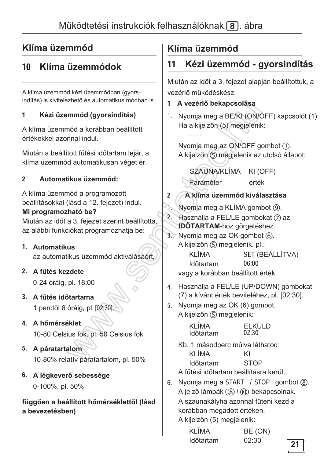#### Klíma üzemmódok 10

A klíma üzemmód kézi üzemmódban (gyorsindítás) is kivitelezhető és automatikus módban is.

#### $\mathbf{1}$ Kézi üzemmód (gyorsindítás)

A klíma üzemmód a korábban beállított értékekkel azonnal indul.

Miután a beállított fűtési időtartam lejár, a klíma üzemmód automatikusan véget ér.

#### $\overline{2}$ Automatikus üzemmód:

A klíma üzemmód a programozott beállításokkal (lásd a 12. fejezet) indul. Mi programozható be?

Miután az időt a 3. fejezet szerint beállította, az alábbi funkciókat programozhatja be:

### 1. Automatikus

az automatikus üzemmód aktiválásáért.

### 2. A fűtés kezdete

0-24 óráig, pl. 18:00

### 3. A fűtés időtartama 1 perctől 6 óráig, pl. [02:30].

- 4. A hőmérséklet 10-80 Celsius fok, pl. 50 Celsius fok
- 5. A páratartalom 10-80% relatív páratartalom, pl. 50%

### 6. A légkeverő sebessége 0-100%, pl. 50%

### függően a beállított hőmérséklettől (lásd a bevezetésben)

## Klíma üzemmód

#### Kézi üzemmód - gyorsindítás  $11$

Miután az időt a 3. fejezet alapján beállítottuk, a vezérlő működéskész.

- 1 A vezérlő bekapcsolása
- 1. Nyomja meg a BE/KI (ON/OFF) kapcsolót (1). Ha a kijelzőn (5) megjelenik: . . . .

Nyomia meg az ON/OFF gombot (3). A kijelzőn (5) megjelenik az utolsó állapot:

SZAUNA/KLÍMA KI (OFF) Paraméter érték

- A klíma üzemmód kiválasztása  $2<sup>1</sup>$
- Nyomia meg a KLÍMA gombot (9).  $1 -$
- $2.$ Használja a FEL/LE gombokat (7) az IDŐTARTAM-hoz görgetéshez.
- 3. Nyomia meg az OK gombot (6). A kijelzőn (5) megjelenik, pl.:

KI ÍMA SET (BEÁLLÍTVA) 06:00 Időtartam

vagy a korábban beállított érték.

- 4. Használja a FEL/LE (UP/DOWN) gombokat (7) a kívánt érték beviteléhez, pl. [02:30].
- 5. Nyomia meg az OK (6) gombot. A kijelzőn (5) megjelenik:

| <b>KLÍMA</b> | <b>ELKÜLD</b> |
|--------------|---------------|
| Időtartam    | 02:30         |

Kb. 1 másodperc múlva láthatod: KI ÍMA KI

| <b>Időtartam</b> | <b>STOP</b> |  |
|------------------|-------------|--|
|                  |             |  |

A fűtési időtartam beállításra került.

6. Nyomia meg a START / STOP gombot (8). A jelző lámpák (8) / (iii) bekapcsolnak. A szaunakályha azonnal fűteni kezd a korábban megadott értéken. A kijelzőn (5) megjelenik:

| <b>KLÍMA</b>     | BE (ON) |
|------------------|---------|
| <b>Időtartam</b> | 02:30   |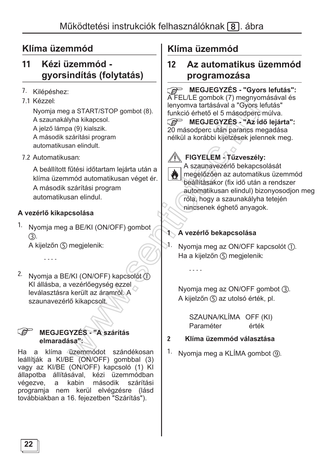#### $11$ Kézi üzemmód gyorsindítás (folytatás)

- 7. Kilépéshez:
- 71 Kézzel

Nyomja meg a START/STOP gombot (8). A szaunakályha kikapcsol. A ielző lámpa (9) kialszik. A második szárítási program automatikusan elindult.

7.2 Automatikusan:

A beállított fűtési időtartam lejárta után a klíma üzemmód automatikusan véget ér. A második szárítási program automatikusan elindul.

### A vezérlő kikapcsolása

1. Nyomja meg a BE/KI (ON/OFF) gombot  $(3).$ 

A kijelzőn (5) megjelenik:

 $\sim$   $\sim$   $\sim$   $\sim$ 

2. Nyomja a BE/KI (ON/OFF) kapcsolót ① KI állásba, a vezérlőegység ezzel leválasztásra került az áramról. A szaunavezérlő kikapcsolt.

#### **RAD MEGJEGYZÉS - "A szárítás** elmaradása";

a klíma üzemmódot szándékosan Ha leállítják a KI/BE (ON/OFF) gombbal (3) vagy az KI/BE (ON/OFF) kapcsoló (1) KI állapotba állításával, kézi üzemmódban kabin második végezve, a szárítási programja nem kerül elvégzésre (lásd továbbiakban a 16. fejezetben "Szárítás").

## Klíma üzemmód

#### $12$ Az automatikus üzemmód programozása

Ca MEGJEGYZÉS - "Gyors lefutás":

A FEL/LE gombok (7) megnyomásával és lenyomva tartásával a "Gyors lefutás" funkció érhető el 5 másodperc múlva.

MEGJEGYZÉS - "Az idő lejárta": 20 másodperc után parancs megadása nélkül a korábbi kijelzések jelennek meg.

### FIGYELEM - Tűzveszély:



A szaunavezérlő bekapcsolását megelőzően az automatikus üzemmód beállításakor (fix idő után a rendszer automatikusan elindul) bizonyosodjon meg róla, hogy a szaunakályha tetején nincsenek éghető anvagok.

### 1 A vezérlő bekapcsolása

 $\sim$   $\sim$   $\sim$ 

 $\mathbb{R}^1$ . Nyomia meg az ON/OFF kapcsolót (1). Ha a kijelzőn (5) megjelenik:

> Nyomja meg az ON/OFF gombot (3). A kijelzőn (5) az utolsó érték, pl.

SZAUNA/KLÍMA OFF (KI) Paraméter érték

#### $\overline{2}$ Klíma üzemmód választása

1. Nyomja meg a KLÍMA gombot (9).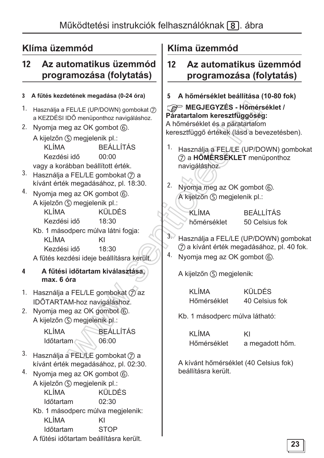#### Az automatikus üzemmód  $12<sup>2</sup>$ programozása (folytatás)

#### 3 A fűtés kezdetének megadása (0-24 óra)

- 1. Használja a FEL/LE (UP/DOWN) gombokat (7) a KEZDÉSI IDŐ menüponthoz navigáláshoz.
- 2. Nyomia meg az OK gombot (6).

A kijelzőn (5) megjelenik pl.: **KLÍMA BEÁLLÍTÁS** Kezdési idő 00:00 vagy a korábban beállított érték.

- 3. Használja a FEL/LE gombokat  $\oslash$  a kívánt érték megadásához, pl. 18:30.
- 4. Nyomja meg az OK gombot 6. A kijelzőn (5) megjelenik pl.: KI ÍMA KÜLDÉS Kezdési idő 18:30
	- Kb. 1 másodperc múlva látni fogja: KLÍMA KI Kezdési idő 18:30 A fűtés kezdési ideje beállításra került.

#### A fűtési időtartam kiválasztása.  $\overline{\mathbf{4}}$ max. 6 óra

1. Használja a FEL/LE gombokat (7) az IDŐTARTAM-hoz navigáláshoz.

2. Nyomia meg az OK gombot 6. A kijelzőn (5) megjelenik pl.:

> KI ÍMA **BEÁLLÍTÁS** Időtartam 06:00

- 3. Használja a FEL/LE gombokat (7) a kívánt érték megadásához, pl. 02:30.
- 4. Nyomja meg az OK gombot 6. A kijelzőn (5) megjelenik pl.: KÜLDÉS KI ÍMA Időtartam  $02:30$ Kb. 1 másodperc múlva megjelenik: **KLÍMA** KI **STOP Időtartam** A fűtési időtartam beállításra került.

## Klíma üzemmód

#### Az automatikus üzemmód  $12<sup>2</sup>$ programozása (folytatás)

5 A hőmérséklet beállítása (10-80 fok)

MEGJEGYZÉS - Hőmérséklet / Páratartalom keresztfüggőség: A hőmérséklet és a páratartalom keresztfüggő értékek (lásd a bevezetésben).

- 1. Használja a FEL/LE (UP/DOWN) gombokat (7) a HŐMÉRSÉKLET menüponthoz navigáláshoz.
- 2. Nyomja meg az OK gombot  $\circledS$ . A kijelzőn (5) megjelenik pl.:

**KLÍMA** hőmérséklet

BEÁLL ÍTÁS 50 Celsius fok

 $3<sub>2</sub>$ Használja a FEL/LE (UP/DOWN) gombokat (7) a kívánt érték megadásához, pl. 40 fok. 4. Nyomja meg az OK gombot 6.

A kijelzőn (5) megjelenik:

KI ÍMA Hőmérséklet KÜLDÉS 40 Celsius fok

Kb. 1 másodperc múlva látható:

**KLÍMA** Hőmérséklet

KI

a megadott hőm.

A kívánt hőmérséklet (40 Celsius fok) beállításra került.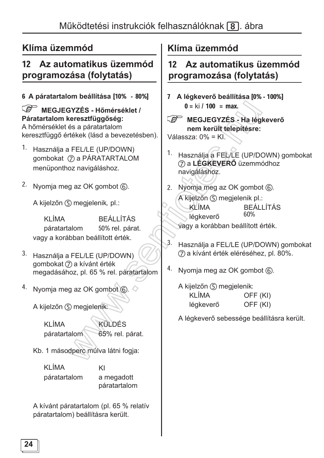### 12 Az automatikus üzemmód programozása (folytatás)

### 6 A páratartalom beállítása [10% - 80%]

MEGJEGYZÉS - Hőmérséklet / Páratartalom keresztfüggőség: A hőmérséklet és a páratartalom keresztfüggő értékek (lásd a bevezetésben).

- $1.$ Használja a FEL/LE (UP/DOWN) gombokat (7) a PÁRATARTALOM menüponthoz navigáláshoz.
- <sup>2.</sup> Nyomja meg az OK gombot 6.

A kijelzőn (5) megjelenik, pl.:

**KLÍMA BEÁLLÍTÁS** páratartalom 50% rel. párat. vagy a korábban beállított érték.

- 3. Használja a FEL/LE (UP/DOWN) gombokat (7) a kívánt érték megadásához, pl. 65 % rel. páratartalom
- 4. Nyomja meg az OK gombot  $\circledS$ .

A kijelzőn (5) megjelenik:

**KLÍMA KÜLDÉS** 65% rel. párat. páratartalom

Kb. 1 másodperc múlva látni fogja:

KI ÍMA páratartalom

KI a megadott páratartalom

A kívánt páratartalom (pl. 65 % relatív páratartalom) beállításra került.

### Klíma üzemmód

#### Az automatikus üzemmód  $12<sub>2</sub>$ programozása (folytatás)

- 7 A légkeverő beállítása [0% 100%]  $0 = ki / 100 = max.$
- MEGJEGYZÉS Ha légkeverő nem került telepítésre:

Válassza: 0% = KI.

- 1. Használja a FEL/LE (UP/DOWN) gombokat 7 a LÉGKEVERŐ üzemmódhoz navigáláshoz.
- 2. Nyomja meg az OK gombot 6. A kijelzőn (5) megjelenik pl.: KLÍMA **BEÁLLÍTÁS** 60% légkeverő vagy a korábban beállított érték.
- $3.$ Használja a FEL/LE (UP/DOWN) gombokat (7) a kívánt érték eléréséhez, pl. 80%.
- 4. Nyomja meg az OK gombot 6.

A kijelzőn (5) megjelenik: KI ÍMA OFF (KI) OFF (KI) légkeverő

A légkeverő sebessége beállításra került.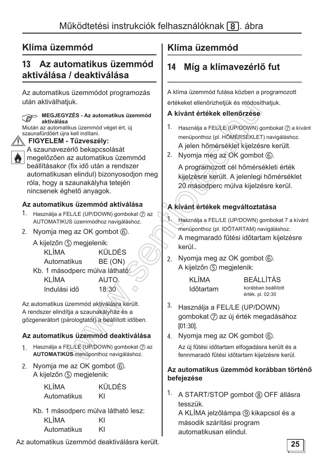#### Az automatikus üzemmód  $13<sup>7</sup>$ aktiválása / deaktiválása

Az automatikus üzemmódot programozás után aktiválhatjuk.

| MEGJEGYZES - Az automatikus üzemmód<br><b>REA</b>                                                                                                                                                                                                                                                                                  |  |
|------------------------------------------------------------------------------------------------------------------------------------------------------------------------------------------------------------------------------------------------------------------------------------------------------------------------------------|--|
| aktiválása                                                                                                                                                                                                                                                                                                                         |  |
| Miután az automatikus üzemmód véget ért, új                                                                                                                                                                                                                                                                                        |  |
| szaunafürdőért újra kell indítani.                                                                                                                                                                                                                                                                                                 |  |
| szaunaturgoert ujra kei⊟ngitani.<br>Î्∖FIGYELEM - Tűzveszély:                                                                                                                                                                                                                                                                      |  |
| A szaunavezérlő bekapcsolását                                                                                                                                                                                                                                                                                                      |  |
| $\mathbf{M}$ $\mathbf{M}$ $\mathbf{M}$ $\mathbf{M}$ $\mathbf{M}$ $\mathbf{M}$ $\mathbf{M}$ $\mathbf{M}$ $\mathbf{M}$ $\mathbf{M}$ $\mathbf{M}$ $\mathbf{M}$ $\mathbf{M}$ $\mathbf{M}$ $\mathbf{M}$ $\mathbf{M}$ $\mathbf{M}$ $\mathbf{M}$ $\mathbf{M}$ $\mathbf{M}$ $\mathbf{M}$ $\mathbf{M}$ $\mathbf{M}$ $\mathbf{M}$ $\mathbf{$ |  |

 $\parallel$  megelőzően az automatikus üzemmód beállításakor (fix idő után a rendszer automatikusan elindul) bizonyosodjon meg róla, hogy a szaunakályha tetején nincsenek éghető anyagok.

### Az automatikus üzemmód aktiválása

- 1. Használja a FEL/LE (UP/DOWN) gombokat 7 az AUTOMATIKUS üzemmódhoz navigáláshoz.
- 2. Nyomia meg az OK gombot (6).
	- A kijelzőn (5) megjelenik: **KÜLDÉS KLIMA**

| Automatikus | BE (ON) |
|-------------|---------|
|-------------|---------|

Kb. 1 másodperc múlva látható! **KLÍMA** AUTO. Indulási idő  $18:30$ 

Az automatikus üzemmód aktiválásra került. A rendszer elindítja a szaunakályház és a gőzgenerátort (párologtatót) a beállított időben.

### Az automatikus üzemmód deaktiválása

- Használja a FEL/LE (UP/DOWN) gombokat (7) az  $1<sup>1</sup>$ **AUTOMATIKUS** menüponthoz navigáláshoz.
- 2. Nyomia me az OK gombot (6). A kijelzőn (5) megjelenik:

KÜI DÉS KI ÍMA Automatikus KI

Kb. 1 másodperc múlva látható lesz: **KLÍMA** KI Automatikus KI

Az automatikus üzemmód deaktiválásra került.

## Klíma üzemmód

#### Míg a klímavezérlő fut  $14$

A klíma üzemmód futása közben a programozott értékeket ellenőrizhetjük és módosíthatjuk.

### A kívánt értékek ellenőrzése

- 1. Használja a FEL/LE (UP/DOWN) gombokat (7) a kívánt menüponthoz (pl. HŐMÉRSÉKLET) navigáláshoz. A jelen hőmérséklet kijelzésre került.
- 2. Nyomia meg az OK gombot 6.

A programozott cél hőmérsékleti érték kijelzésre került. A jelenlegi hőmérséklet 20 másodperc múlva kijelzésre kerül.

### A kívánt értékek megváltoztatása

- $\mathcal{F}$ Használja a FEL/LE (UP/DOWN) gombokat 7 a kívánt menüponthoz (pl. IDŐTARTAM) navigáláshoz. A megmaradó fűtési időtartam kijelzésre kerül..
- 2. Nyomia meg az OK gombot (6). A kijelzőn (5) megjelenik:

| <b>KLÍMA</b> |  |
|--------------|--|
| Időtartam    |  |

**BEÁLLÍTÁS** korábban beállított érték. pl. 02:30

- $3.$ Használja a FEL/LE (UP/DOWN) gombokat (7) az új érték megadásához  $[01:30]$ .
- 4. Nyomja meg az OK gombot 6.

Az új fűtési időtartam elfogadásra került és a fennmaradó fűtési időtartam kijelzésre kerül.

#### Az automatikus üzemmód korábban történő befejezése

1. A START/STOP gombot ⑧ OFF állásra tesszük

A KLÍMA jelzőlámpa (9) kikapcsol és a második szárítási program automatikusan elindul.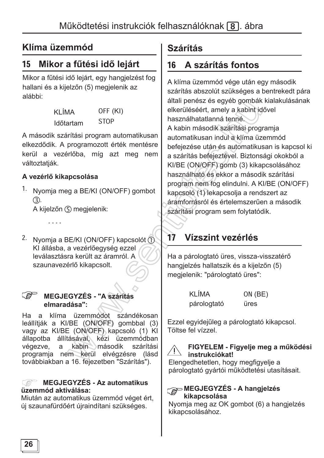#### Mikor a fűtési idő lejárt 15

Mikor a fűtési idő lejárt, egy hangjelzést fog hallani és a kijelzőn (5) megjelenik az alábbi:

> KI ÍMA Időtartam

OFF (KI)

**STOP** 

A második szárítási program automatikusan elkezdődik. A programozott érték mentésre kerül a vezérlőba, míg azt meg nem változtatiák.

### A vezérlő kikapcsolása

 $\sim$   $\sim$   $\sim$   $\sim$ 

1. Nyomja meg a BE/KI (ON/OFF) gombot  $(3).$ 

A kijelzőn (5) megjelenik:

2. Nyomja a BE/KI (ON/OFF) kapcsolót 1 KI állásba, a vezérlőegység ezzel leválasztásra került az áramról. A szaunavezérlő kikapcsolt.

#### **SP** MEGJEGYZÉS - "A szárítás elmaradása":

Ha a klíma üzemmódot szándékosan leállítják a KI/BE (ON/OFF) gombbal (3) vagy az KI/BE (ON/OFF) kapcsoló (1) KI állapotba állításával, kézi üzemmódban végezve, a kabin **második** szárítási programia nem kerül elvégzésre (lásd továbbiakban a 16. fejezetben "Szárítás").

#### **MEGJEGYZÉS - Az automatikus**  $\mathbb{R}^n$ üzemmód aktiválása:

Miután az automatikus üzemmód véget ért. új szaunafürdőért újraindítani szükséges.

## **Szárítás**

#### A szárítás fontos  $16<sup>1</sup>$

A klíma üzemmód vége után egy második szárítás abszolút szükséges a bentrekedt pára általi penész és egyéb gombák kialakulásának elkerüléséért, amely a kabint idővel használhatatlanná tenné. A kabin második szárítási programia automatikusan indul a klíma üzemmód befejezése után és automatikusan is kapcsol ki a szárítás befejeztével. Biztonsági okokból a KI/BE (ON/OFF) gomb (3) kikapcsolásához használható és ekkor a második szárítási program nem fog elindulni. A KI/BE (ON/OFF) kapcsoló (1) lekapcsolja a rendszert az áramforrásról és értelemszerűen a második szárítási program sem folytatódik.

#### Vízszint vezérlés  $17$

Ha a párologtató üres, vissza-visszatérő hangielzés hallatszik és a kijelzőn (5) megjelenik: "párologtató üres":

| <b>KLÍMA</b> | $ON$ (BE) |
|--------------|-----------|
| párologtató  | üres      |

Ezzel egyidejűleg a párologtató kikapcsol. Töltse fel vízzel.

### FIGYELEM - Figyelje meg a működési instrukciókat!

Elengedhetetlen, hogy megfigyelje a párologtató gyártói működtetési utasításait.

#### MEGJEGYZÉS - A hangjelzés kikapcsolása

Nyomia meg az OK gombot (6) a hangielzés kikapcsolásához.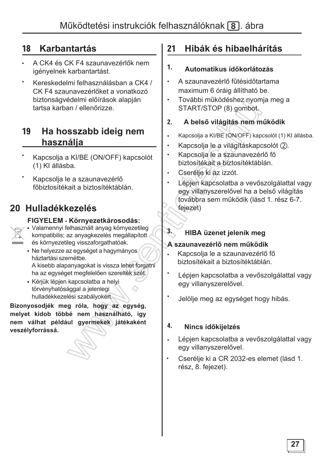## 18 **Karbantartás**

- A CK4 és CK F4 szaunavezérlők nem igényelnek karbantartást.
- Kereskedelmi felhasználásban a CK4 / CK F4 szaunavezérlőket a vonatkozó biztonságvédelmi előírások alapján tartsa karban / ellenőrizze.

### 19 Ha hosszabb ideig nem **használja**

- Kapcsolja a KI/BE (ON/OFF) kapcsolót (1) KI állásba.
- Kapcsolja le a szaunavezérlő főbiztosítékait a biztosítéktáblán.

## **20 Hulladékkezelés**

### **FIGYELEM - Környezetkárosodás:**

- Valamennyi felhasznált anyag környezetileg kompatibilis; az anyagkezelés megállapított és környezetileg visszaforgathatóak.
	- Ne helyezze az egységet a hagymányos háztartási szemétbe. A kisebb alapanyagokat is vissza lehet forgatni ha az egységet megfelelően szerelték szét.
	- · Kérjük lépjen kapcsolatba a helyi törvényhatósággal a jelenlegi hulladékkezelési szabályokért.

Bizonyosodjék meg róla, hogy az egység, melyet kidob többé nem használható, így nem válhat például gyermekek játékaként veszélyforrássá.

## 21 Hibák és hibaelhárítás

### 1. Automatikus időkorlátozás

- A szaunavezérlő fűtésidőtartama maximum 6 óráig állítható be.
- További működéshez nyomja meg a START/STOP (8) gombot.

### 2. A belső világítás nem működik

- $\bullet$ Kapcsolia a KI/BE (ON/OFF) kapcsolót (1) KI állásba.
- Kapcsolja le a világításkapcsolót (2).
- Kapcsolia le a szaunavezérlő fő biztosítékait a biztosítéktáblán.
- Cserélje ki az izzót.
- Lépjen kapcsolatba a vevőszolgálattal vagy egy villanyszerelővel ha a belső világítás továbbra sem működik (lásd 1. rész 6-7. fejezet)

## 3. **HIBA** üzenet jelenik meg

### **A szaunavezérlő nem működik**

- $\bullet$ Kapcsolja le a szaunavezérlő fő biztosítékait a biztosítéktáblán.
- Lépjen kapcsolatba a vevőszolgálattal vagy egy villanyszerelővel.
- Jelölje meg az egységet hogy hibás.

### 4. Nincs időkijelzés

- $\bullet$ Lépjen kapcsolatba a vevőszolgálattal vagy egy villanyszerelővel.
- Cserélje ki a CR 2032-es elemet (lásd 1. rész. 8. fejezet).